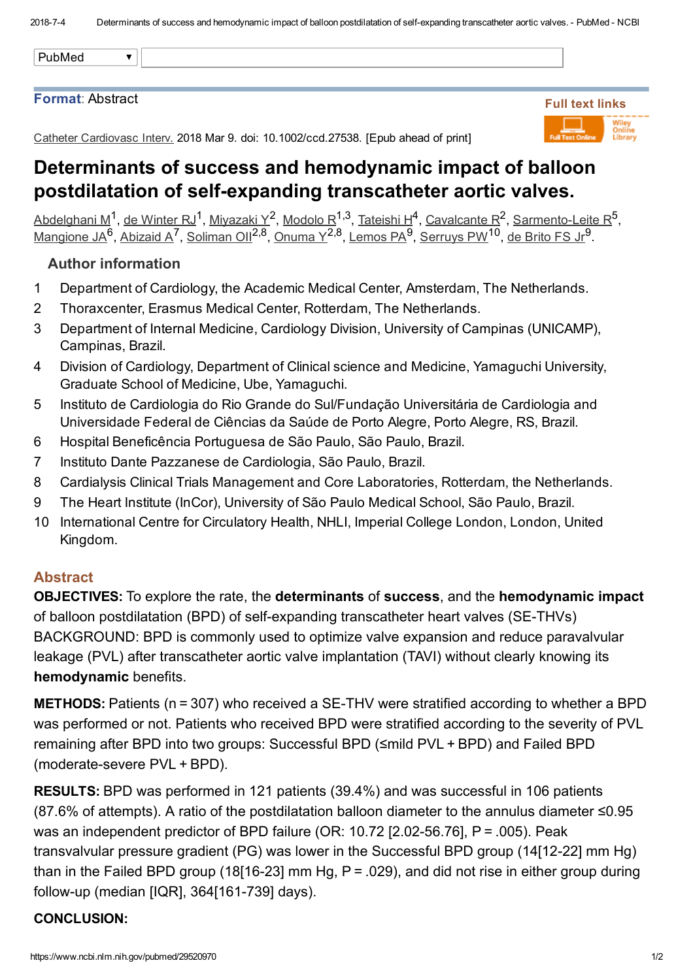#### PubMed $\overline{\mathbf{v}}$

## Format: Abstract

Catheter Cardiovasc Interv. 2018 Mar 9. doi: 10.1002/ccd.27538. [Epub ahead of print]



# Determinants of success and hemodynamic impact of balloon postdilatation of self-expanding transcatheter aortic valves.

[Abdelghani](https://www.ncbi.nlm.nih.gov/pubmed/?term=Abdelghani%20M%5BAuthor%5D&cauthor=true&cauthor_uid=29520970) M<sup>1</sup>, de [Winter](https://www.ncbi.nlm.nih.gov/pubmed/?term=de%20Winter%20RJ%5BAuthor%5D&cauthor=true&cauthor_uid=29520970) RJ<sup>1</sup>, [Miyazaki](https://www.ncbi.nlm.nih.gov/pubmed/?term=Miyazaki%20Y%5BAuthor%5D&cauthor=true&cauthor_uid=29520970) Y<sup>2</sup>, [Modolo](https://www.ncbi.nlm.nih.gov/pubmed/?term=Modolo%20R%5BAuthor%5D&cauthor=true&cauthor_uid=29520970) R<sup>1,3</sup>, [Tateishi](https://www.ncbi.nlm.nih.gov/pubmed/?term=Tateishi%20H%5BAuthor%5D&cauthor=true&cauthor_uid=29520970) H<sup>4</sup>, [Cavalcante](https://www.ncbi.nlm.nih.gov/pubmed/?term=Cavalcante%20R%5BAuthor%5D&cauthor=true&cauthor_uid=29520970) R<sup>2</sup>, Sarmento-Leite R<sup>5</sup>, [Mangione](https://www.ncbi.nlm.nih.gov/pubmed/?term=Mangione%20JA%5BAuthor%5D&cauthor=true&cauthor_uid=29520970) JA<sup>6</sup>, [Abizaid](https://www.ncbi.nlm.nih.gov/pubmed/?term=Abizaid%20A%5BAuthor%5D&cauthor=true&cauthor_uid=29520970) A<sup>7</sup>, [Soliman](https://www.ncbi.nlm.nih.gov/pubmed/?term=Soliman%20OII%5BAuthor%5D&cauthor=true&cauthor_uid=29520970) Oll<sup>2,8</sup>, [Onuma](https://www.ncbi.nlm.nih.gov/pubmed/?term=Onuma%20Y%5BAuthor%5D&cauthor=true&cauthor_uid=29520970) Y<sup>2,8</sup>, [Lemos](https://www.ncbi.nlm.nih.gov/pubmed/?term=Lemos%20PA%5BAuthor%5D&cauthor=true&cauthor_uid=29520970) PA<sup>9</sup>, [Serruys](https://www.ncbi.nlm.nih.gov/pubmed/?term=Serruys%20PW%5BAuthor%5D&cauthor=true&cauthor_uid=29520970) PW<sup>10</sup>, de [Brito](https://www.ncbi.nlm.nih.gov/pubmed/?term=de%20Brito%20FS%20Jr%5BAuthor%5D&cauthor=true&cauthor_uid=29520970) FS Jr<sup>9</sup>.

### Author information

- 1 Department of Cardiology, the Academic Medical Center, Amsterdam, The Netherlands.
- 2 Thoraxcenter, Erasmus Medical Center, Rotterdam, The Netherlands.
- 3 Department of Internal Medicine, Cardiology Division, University of Campinas (UNICAMP), Campinas, Brazil.
- 4 Division of Cardiology, Department of Clinical science and Medicine, Yamaguchi University, Graduate School of Medicine, Ube, Yamaguchi.
- 5 Instituto de Cardiologia do Rio Grande do Sul/Fundação Universitária de Cardiologia and Universidade Federal de Ciências da Saúde de Porto Alegre, Porto Alegre, RS, Brazil.
- 6 Hospital Beneficência Portuguesa de São Paulo, São Paulo, Brazil.
- 7 Instituto Dante Pazzanese de Cardiologia, São Paulo, Brazil.
- 8 Cardialysis Clinical Trials Management and Core Laboratories, Rotterdam, the Netherlands.
- 9 The Heart Institute (InCor), University of São Paulo Medical School, São Paulo, Brazil.
- 10 International Centre for Circulatory Health, NHLI, Imperial College London, London, United Kingdom.

### Abstract

**OBJECTIVES:** To explore the rate, the determinants of success, and the hemodynamic impact of balloon postdilatation (BPD) of self-expanding transcatheter heart valves (SE-THVs) BACKGROUND: BPD is commonly used to optimize valve expansion and reduce paravalvular leakage (PVL) after transcatheter aortic valve implantation (TAVI) without clearly knowing its hemodynamic benefits.

**METHODS:** Patients (n = 307) who received a SE-THV were stratified according to whether a BPD was performed or not. Patients who received BPD were stratified according to the severity of PVL remaining after BPD into two groups: Successful BPD (≤mild PVL + BPD) and Failed BPD (moderate-severe PVL + BPD).

RESULTS: BPD was performed in 121 patients (39.4%) and was successful in 106 patients (87.6% of attempts). A ratio of the postdilatation balloon diameter to the annulus diameter ≤0.95 was an independent predictor of BPD failure (OR: 10.72 [2.02-56.76],  $P = .005$ ). Peak transvalvular pressure gradient (PG) was lower in the Successful BPD group (14[12-22] mm Hg) than in the Failed BPD group (18[16-23] mm Hg,  $P = 0.029$ ), and did not rise in either group during follow-up (median [IQR],  $364$ [161-739] days).

### CONCLUSION: